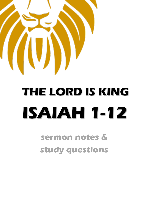

# **THE LORD IS KING ISAIAH 1-12**

 **sermon notes & study questions**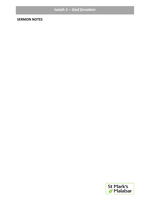## **Isaiah 1 –** *God forsaken*

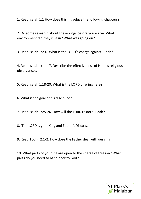1. Read Isaiah 1:1 How does this introduce the following chapters?

2. Do some research about these kings before you arrive. What environment did they rule in? What was going on?

3. Read Isaiah 1:2-6. What is the LORD's charge against Judah?

4. Read Isaiah 1:11-17. Describe the effectiveness of Israel's religious observances.

5. Read Isaiah 1:18-20. What is the LORD offering here?

6. What is the goal of his discipline?

7. Read Isaiah 1:25-26. How will the LORD restore Judah?

8. 'The LORD is your King and Father'. Discuss.

9. Read 1 John 2:1-2. How does the Father deal with our sin?

10. What parts of your life are open to the charge of treason? What parts do you need to hand back to God?

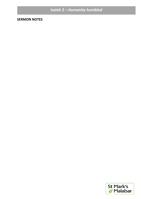## **Isaiah 2 - Humanity humbled**

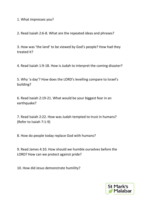1. What impresses you?

2. Read Isaiah 2:6-8. What are the repeated ideas and phrases?

3. How was 'the land' to be viewed by God's people? How had they treated it?

4. Read Isaiah 1:9-18. How is Judah to interpret the coming disaster?

5. Why 'a day'? How does the LORD's levelling compare to Israel's building?

6. Read Isaiah 2:19-21. What would be your biggest fear in an earthquake?

7. Read Isaiah 2:22. How was Judah tempted to trust in humans? (Refer to Isaiah 7:1-9)

8. How do people today replace God with humans?

9. Read James 4:10. How should we humble ourselves before the LORD? How can we protect against pride?

10. How did Jesus demonstrate humility?

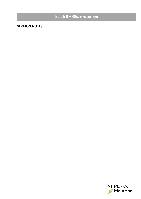#### 11. When does pride rise to the surface in your life? **Isaiah 3 –** *Glory returned*

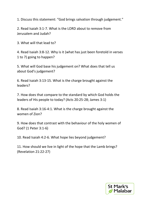1. Discuss this statement: "God brings salvation through judgement."

2. Read Isaiah 3:1-7. What is the LORD about to remove from Jerusalem and Judah?

3. What will that lead to?

4. Read Isaiah 3:8-12. Why is it (what has just been foretold in verses 1 to 7) going to happen?

5. What will God base his judgement on? What does that tell us about God's judgement?

6. Read Isaiah 3:13-15. What is the charge brought against the leaders?

7. How does that compare to the standard by which God holds the leaders of His people to today? (Acts 20:25-28; James 3:1)

8. Read Isaiah 3:16-4:1. What is the charge brought against the women of Zion?

9. How does that contrast with the behaviour of the holy women of God? (1 Peter 3:1-6)

10. Read Isaiah 4:2-6. What hope lies beyond judgement?

11. How should we live in light of the hope that the Lamb brings? (Revelation 21:22-27)

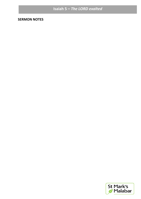## Isaiah 5 - The LORD exalted

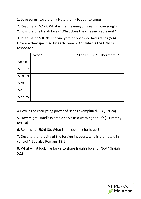1. Love songs. Love them? Hate them? Favourite song?

2. Read Isaiah 5:1-7. What is the meaning of Isaiah's "love song"? Who is the one Isaiah loves? What does the vineyard represent?

3. Read Isaiah 5:8-30. The vineyard only yielded bad grapes (5:4). How are they specified by each "woe"? And what is the LORD's response?

|            | "Woe" | "The LORD" "Therefore" |
|------------|-------|------------------------|
| $v8-10$    |       |                        |
| $v11-17$   |       |                        |
| $v18-19$   |       |                        |
| v20        |       |                        |
| v21        |       |                        |
| $v22 - 25$ |       |                        |

4.How is the corrupting power of riches exemplified? (v8, 18-24)

5. How might Israel's example serve as a warning for us? (1 Timothy 6:9-10)

6. Read Isaiah 5:26-30. What is the outlook for Israel?

7. Despite the ferocity of the foreign invaders, who is ultimately in control? (See also Romans 13:1)

8. What will it look like for us to share Isaiah's love for God? (Isaiah 5:1)

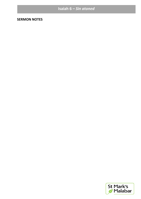## Isaiah 6 - Sin atoned

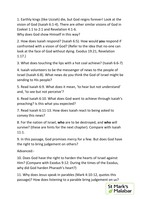1. Earthly kings (like Uzziah) die, but God reigns forever! Look at the vision of God (Isaiah 6:1-4). There are other similar visions of God in Ezekiel 1:1 to 2:1 and Revelation 4:1-6.

Why does God show Himself in this way?

2. How does Isaiah respond? (Isaiah 6:5). How would **you** respond if confronted with a vision of God? (Refer to the idea that no-one can look at the face of God without dying. Exodus 19:21, Revelation 1:17.)

3. What does touching the lips with a hot coal achieve? (Isaiah 6:6-7)

4. Isaiah volunteers to be the messenger of news to the people of Israel (Isaiah 6:8). What news do you think the God of Israel might be sending to His people?

5. Read Isaiah 6:9. What does it mean, 'to hear but not understand' and, 'to see but not perceive'?

6. Read Isaiah 6:10. What does God want to achieve through Isaiah's preaching? Is this what you expected?

7. Read Isaiah 6:11-13. How does Isaiah react to being asked to convey this news?

8. For the nation of Israel, **who** are to be destroyed, and **who** will survive? (these are hints for the next chapter). Compare with Isaiah 11:1.

9. In this passage, God promises mercy for a few. But does God have the right to bring judgement on others?

Advanced:-

10. Does God have the right to harden the hearts of Israel against Him? (Compare with Exodus 9:12: During the times of the Exodus, why did God harden Pharaoh's heart?)

11. Why does Jesus speak in parables (Mark 4:10-12, quotes this passage)? How does listening to a parable bring judgement on us?

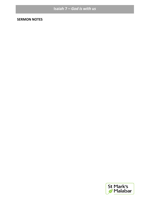## **Isaiah 7 –** *God is with us*

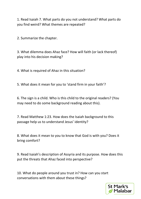1. Read Isaiah 7. What parts do you not understand? What parts do you find weird? What themes are repeated?

2. Summarize the chapter.

3. What dilemma does Ahaz face? How will faith (or lack thereof) play into his decision making?

4. What is required of Ahaz in this situation?

5. What does it mean for you to 'stand firm in your faith'?

6. The sign is a child. Who is this child to the original readers? (You may need to do some background reading about this).

7. Read Matthew 1:23. How does the Isaiah background to this passage help us to understand Jesus' identity?

8. What does it mean to you to know that God is with you? Does it bring comfort?

9. Read Isaiah's description of Assyria and its purpose. How does this put the threats that Ahaz faced into perspective?

10. What do people around you trust in? How can you start conversations with them about these things?

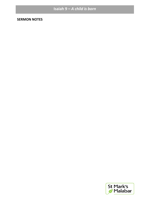## **Isaiah 9 –** *A child is born*

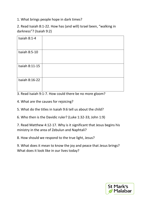1. What brings people hope in dark times?

2. Read Isaiah 8:1-22. How has (and will) Israel been, "walking in darkness"? (Isaiah 9:2)

| Isaiah $8:1-4$       |  |
|----------------------|--|
| <b>Isaiah 8:5-10</b> |  |
| Isaiah 8:11-15       |  |
| Isaiah 8:16-22       |  |

3. Read Isaiah 9:1-7. How could there be no more gloom?

4. What are the causes for rejoicing?

5. What do the titles in Isaiah 9:6 tell us about the child?

6. Who then is the Davidic ruler? (Luke 1:32-33; John 1:9)

7. Read Matthew 4:12-17. Why is it significant that Jesus begins his ministry in the area of Zebulun and Naphtali?

8. How should we respond to the true light, Jesus?

9. What does it mean to know the joy and peace that Jesus brings? What does it look like in our lives today?

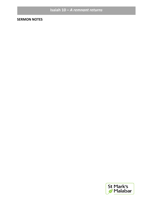## Isaiah 10 - A remnant returns

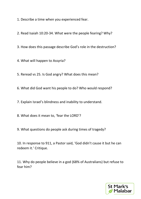1. Describe a time when you experienced fear.

2. Read Isaiah 10:20-34. What were the people fearing? Why?

3. How does this passage describe God's role in the destruction?

4. What will happen to Assyria?

5. Reread vs 25. Is God angry? What does this mean?

6. What did God want his people to do? Who would respond?

7. Explain Israel's blindness and inability to understand.

8. What does it mean to, 'fear the LORD'?

9. What questions do people ask during times of tragedy?

10. In response to 911, a Pastor said, 'God didn't cause it but he can redeem it.' Critique.

11. Why do people believe in a god (68% of Australians) but refuse to fear him?

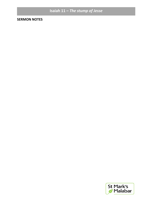## Isaiah 11 - The stump of Jesse

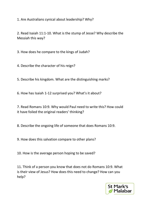1. Are Australians cynical about leadership? Why?

2. Read Isaiah 11:1-10. What is the stump of Jesse? Why describe the Messiah this way?

3. How does he compare to the kings of Judah?

4. Describe the character of his reign?

5. Describe his kingdom. What are the distinguishing marks?

6. How has Isaiah 1-12 surprised you? What's it about?

7. Read Romans 10:9. Why would Paul need to write this? How could it have foiled the original readers' thinking?

8. Describe the ongoing life of someone that does Romans 10:9.

9. How does this salvation compare to other plans?

10. How is the average person hoping to be saved?

11. Think of a person you know that does not do Romans 10:9. What is their view of Jesus? How does this need to change? How can you help?